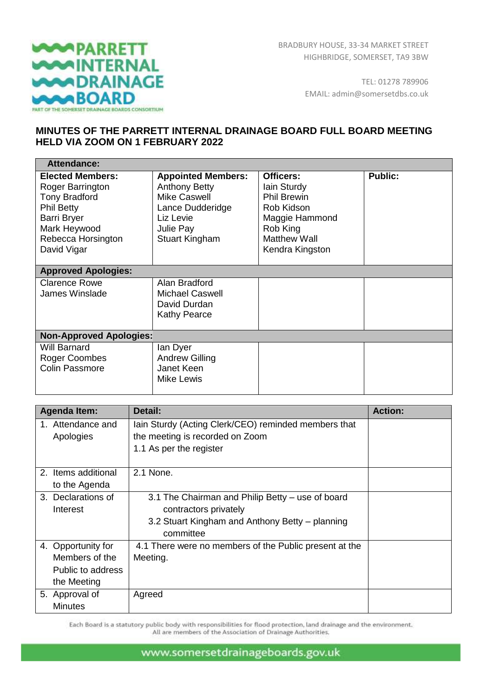

TEL: 01278 789906 EMAIL: admin@somersetdbs.co.uk

## **MINUTES OF THE PARRETT INTERNAL DRAINAGE BOARD FULL BOARD MEETING HELD VIA ZOOM ON 1 FEBRUARY 2022**

| <b>Attendance:</b>                                                                                                                                                  |                                                                                                                                          |                                                                                                                                      |                |
|---------------------------------------------------------------------------------------------------------------------------------------------------------------------|------------------------------------------------------------------------------------------------------------------------------------------|--------------------------------------------------------------------------------------------------------------------------------------|----------------|
| <b>Elected Members:</b><br>Roger Barrington<br><b>Tony Bradford</b><br><b>Phil Betty</b><br><b>Barri Bryer</b><br>Mark Heywood<br>Rebecca Horsington<br>David Vigar | <b>Appointed Members:</b><br><b>Anthony Betty</b><br>Mike Caswell<br>Lance Dudderidge<br>Liz Levie<br>Julie Pay<br><b>Stuart Kingham</b> | Officers:<br>lain Sturdy<br><b>Phil Brewin</b><br>Rob Kidson<br>Maggie Hammond<br>Rob King<br><b>Matthew Wall</b><br>Kendra Kingston | <b>Public:</b> |
| <b>Approved Apologies:</b>                                                                                                                                          |                                                                                                                                          |                                                                                                                                      |                |
| <b>Clarence Rowe</b><br><b>James Winslade</b>                                                                                                                       | Alan Bradford<br><b>Michael Caswell</b><br>David Durdan<br><b>Kathy Pearce</b>                                                           |                                                                                                                                      |                |
| <b>Non-Approved Apologies:</b>                                                                                                                                      |                                                                                                                                          |                                                                                                                                      |                |
| Will Barnard<br>Roger Coombes<br><b>Colin Passmore</b>                                                                                                              | lan Dyer<br><b>Andrew Gilling</b><br>Janet Keen<br>Mike Lewis                                                                            |                                                                                                                                      |                |

| Agenda Item:        | Detail:                                                | <b>Action:</b> |
|---------------------|--------------------------------------------------------|----------------|
| 1. Attendance and   | Iain Sturdy (Acting Clerk/CEO) reminded members that   |                |
| Apologies           | the meeting is recorded on Zoom                        |                |
|                     | 1.1 As per the register                                |                |
|                     |                                                        |                |
| 2. Items additional | 2.1 None.                                              |                |
| to the Agenda       |                                                        |                |
| 3. Declarations of  | 3.1 The Chairman and Philip Betty – use of board       |                |
| Interest            | contractors privately                                  |                |
|                     | 3.2 Stuart Kingham and Anthony Betty - planning        |                |
|                     | committee                                              |                |
| 4. Opportunity for  | 4.1 There were no members of the Public present at the |                |
| Members of the      | Meeting.                                               |                |
| Public to address   |                                                        |                |
| the Meeting         |                                                        |                |
| 5. Approval of      | Agreed                                                 |                |
| <b>Minutes</b>      |                                                        |                |

Each Board is a statutory public body with responsibilities for flood protection, land drainage and the environment. All are members of the Association of Drainage Authorities.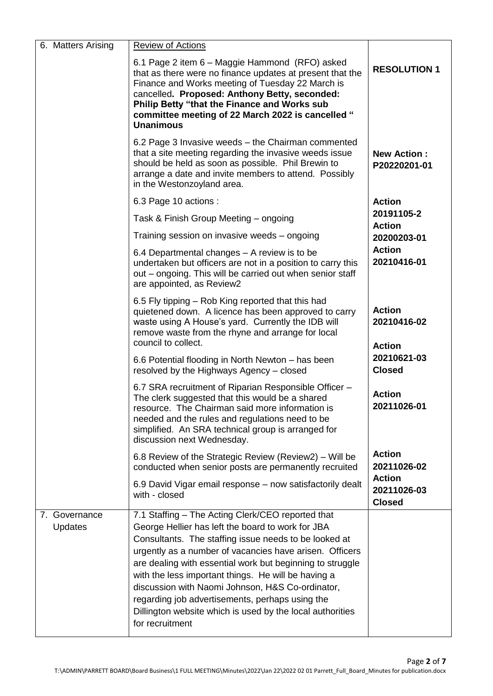| 6. Matters Arising       | <b>Review of Actions</b>                                                                                                                                                                                                                                                                                                                                                                                                                                                                                                              |                                               |
|--------------------------|---------------------------------------------------------------------------------------------------------------------------------------------------------------------------------------------------------------------------------------------------------------------------------------------------------------------------------------------------------------------------------------------------------------------------------------------------------------------------------------------------------------------------------------|-----------------------------------------------|
|                          | 6.1 Page 2 item 6 – Maggie Hammond (RFO) asked<br>that as there were no finance updates at present that the<br>Finance and Works meeting of Tuesday 22 March is<br>cancelled. Proposed: Anthony Betty, seconded:<br>Philip Betty "that the Finance and Works sub<br>committee meeting of 22 March 2022 is cancelled "<br><b>Unanimous</b>                                                                                                                                                                                             | <b>RESOLUTION 1</b>                           |
|                          | 6.2 Page 3 Invasive weeds - the Chairman commented<br>that a site meeting regarding the invasive weeds issue<br>should be held as soon as possible. Phil Brewin to<br>arrange a date and invite members to attend. Possibly<br>in the Westonzoyland area.                                                                                                                                                                                                                                                                             | <b>New Action:</b><br>P20220201-01            |
|                          | 6.3 Page 10 actions :                                                                                                                                                                                                                                                                                                                                                                                                                                                                                                                 | <b>Action</b>                                 |
|                          | Task & Finish Group Meeting - ongoing                                                                                                                                                                                                                                                                                                                                                                                                                                                                                                 | 20191105-2<br><b>Action</b>                   |
|                          | Training session on invasive weeds - ongoing                                                                                                                                                                                                                                                                                                                                                                                                                                                                                          | 20200203-01                                   |
|                          | 6.4 Departmental changes – A review is to be<br>undertaken but officers are not in a position to carry this<br>out – ongoing. This will be carried out when senior staff<br>are appointed, as Review2                                                                                                                                                                                                                                                                                                                                 | <b>Action</b><br>20210416-01                  |
|                          | 6.5 Fly tipping – Rob King reported that this had<br>quietened down. A licence has been approved to carry<br>waste using A House's yard. Currently the IDB will<br>remove waste from the rhyne and arrange for local<br>council to collect.                                                                                                                                                                                                                                                                                           | <b>Action</b><br>20210416-02<br><b>Action</b> |
|                          | 6.6 Potential flooding in North Newton – has been<br>resolved by the Highways Agency - closed                                                                                                                                                                                                                                                                                                                                                                                                                                         | 20210621-03<br><b>Closed</b>                  |
|                          | 6.7 SRA recruitment of Riparian Responsible Officer -<br>The clerk suggested that this would be a shared<br>resource. The Chairman said more information is<br>needed and the rules and regulations need to be<br>simplified. An SRA technical group is arranged for<br>discussion next Wednesday.                                                                                                                                                                                                                                    | <b>Action</b><br>20211026-01                  |
|                          | 6.8 Review of the Strategic Review (Review2) – Will be<br>conducted when senior posts are permanently recruited                                                                                                                                                                                                                                                                                                                                                                                                                       | <b>Action</b><br>20211026-02                  |
|                          | 6.9 David Vigar email response - now satisfactorily dealt<br>with - closed                                                                                                                                                                                                                                                                                                                                                                                                                                                            | <b>Action</b><br>20211026-03<br><b>Closed</b> |
| 7. Governance<br>Updates | 7.1 Staffing - The Acting Clerk/CEO reported that<br>George Hellier has left the board to work for JBA<br>Consultants. The staffing issue needs to be looked at<br>urgently as a number of vacancies have arisen. Officers<br>are dealing with essential work but beginning to struggle<br>with the less important things. He will be having a<br>discussion with Naomi Johnson, H&S Co-ordinator,<br>regarding job advertisements, perhaps using the<br>Dillington website which is used by the local authorities<br>for recruitment |                                               |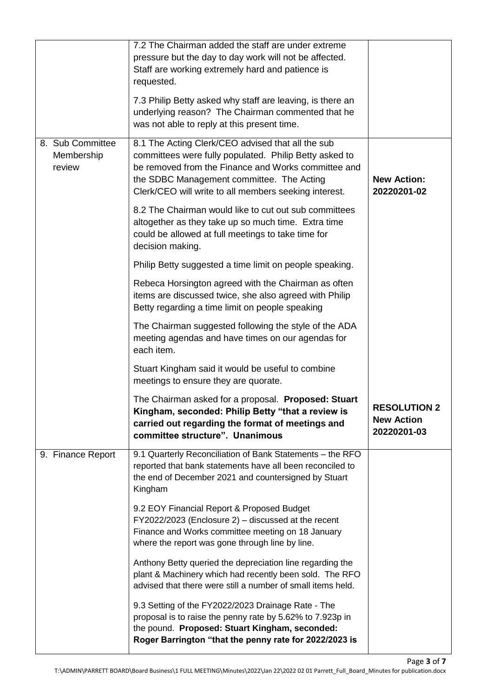|                                          | 7.2 The Chairman added the staff are under extreme<br>pressure but the day to day work will not be affected.<br>Staff are working extremely hard and patience is<br>requested.<br>7.3 Philip Betty asked why staff are leaving, is there an                              |                                                         |
|------------------------------------------|--------------------------------------------------------------------------------------------------------------------------------------------------------------------------------------------------------------------------------------------------------------------------|---------------------------------------------------------|
|                                          | underlying reason? The Chairman commented that he<br>was not able to reply at this present time.                                                                                                                                                                         |                                                         |
| 8. Sub Committee<br>Membership<br>review | 8.1 The Acting Clerk/CEO advised that all the sub<br>committees were fully populated. Philip Betty asked to<br>be removed from the Finance and Works committee and<br>the SDBC Management committee. The Acting<br>Clerk/CEO will write to all members seeking interest. | <b>New Action:</b><br>20220201-02                       |
|                                          | 8.2 The Chairman would like to cut out sub committees<br>altogether as they take up so much time. Extra time<br>could be allowed at full meetings to take time for<br>decision making.                                                                                   |                                                         |
|                                          | Philip Betty suggested a time limit on people speaking.                                                                                                                                                                                                                  |                                                         |
|                                          | Rebeca Horsington agreed with the Chairman as often<br>items are discussed twice, she also agreed with Philip<br>Betty regarding a time limit on people speaking                                                                                                         |                                                         |
|                                          | The Chairman suggested following the style of the ADA<br>meeting agendas and have times on our agendas for<br>each item.                                                                                                                                                 |                                                         |
|                                          | Stuart Kingham said it would be useful to combine<br>meetings to ensure they are quorate.                                                                                                                                                                                |                                                         |
|                                          | The Chairman asked for a proposal. Proposed: Stuart<br>Kingham, seconded: Philip Betty "that a review is<br>carried out regarding the format of meetings and<br>committee structure". Unanimous                                                                          | <b>RESOLUTION 2</b><br><b>New Action</b><br>20220201-03 |
| 9. Finance Report                        | 9.1 Quarterly Reconciliation of Bank Statements - the RFO<br>reported that bank statements have all been reconciled to<br>the end of December 2021 and countersigned by Stuart<br>Kingham                                                                                |                                                         |
|                                          | 9.2 EOY Financial Report & Proposed Budget<br>FY2022/2023 (Enclosure 2) - discussed at the recent<br>Finance and Works committee meeting on 18 January<br>where the report was gone through line by line.                                                                |                                                         |
|                                          | Anthony Betty queried the depreciation line regarding the<br>plant & Machinery which had recently been sold. The RFO<br>advised that there were still a number of small items held.                                                                                      |                                                         |
|                                          | 9.3 Setting of the FY2022/2023 Drainage Rate - The<br>proposal is to raise the penny rate by 5.62% to 7.923p in<br>the pound. Proposed: Stuart Kingham, seconded:<br>Roger Barrington "that the penny rate for 2022/2023 is                                              |                                                         |

Page **3** of **7**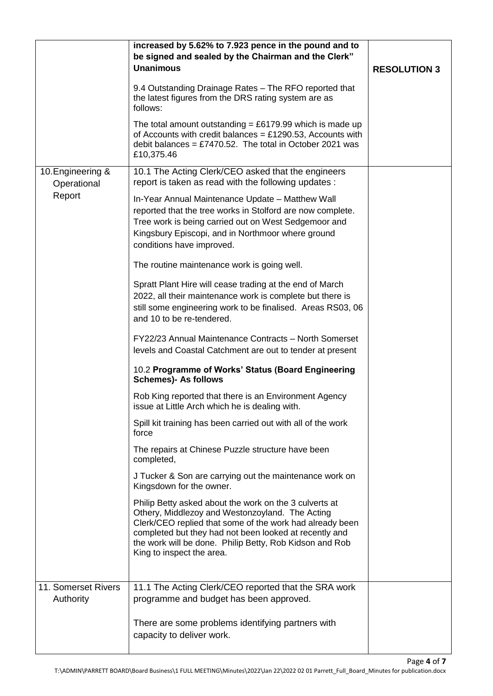|                                  | increased by 5.62% to 7.923 pence in the pound and to                                                                                                                                                                                                                                                                   |                     |
|----------------------------------|-------------------------------------------------------------------------------------------------------------------------------------------------------------------------------------------------------------------------------------------------------------------------------------------------------------------------|---------------------|
|                                  | be signed and sealed by the Chairman and the Clerk"                                                                                                                                                                                                                                                                     |                     |
|                                  | <b>Unanimous</b>                                                                                                                                                                                                                                                                                                        | <b>RESOLUTION 3</b> |
|                                  | 9.4 Outstanding Drainage Rates - The RFO reported that<br>the latest figures from the DRS rating system are as<br>follows:                                                                                                                                                                                              |                     |
|                                  | The total amount outstanding = £6179.99 which is made up<br>of Accounts with credit balances = £1290.53, Accounts with<br>debit balances = £7470.52. The total in October 2021 was<br>£10,375.46                                                                                                                        |                     |
| 10. Engineering &<br>Operational | 10.1 The Acting Clerk/CEO asked that the engineers<br>report is taken as read with the following updates :                                                                                                                                                                                                              |                     |
| Report                           | In-Year Annual Maintenance Update - Matthew Wall<br>reported that the tree works in Stolford are now complete.<br>Tree work is being carried out on West Sedgemoor and<br>Kingsbury Episcopi, and in Northmoor where ground<br>conditions have improved.                                                                |                     |
|                                  | The routine maintenance work is going well.                                                                                                                                                                                                                                                                             |                     |
|                                  | Spratt Plant Hire will cease trading at the end of March<br>2022, all their maintenance work is complete but there is<br>still some engineering work to be finalised. Areas RS03, 06<br>and 10 to be re-tendered.                                                                                                       |                     |
|                                  | FY22/23 Annual Maintenance Contracts - North Somerset<br>levels and Coastal Catchment are out to tender at present                                                                                                                                                                                                      |                     |
|                                  | 10.2 Programme of Works' Status (Board Engineering<br><b>Schemes)- As follows</b>                                                                                                                                                                                                                                       |                     |
|                                  | Rob King reported that there is an Environment Agency<br>issue at Little Arch which he is dealing with.                                                                                                                                                                                                                 |                     |
|                                  | Spill kit training has been carried out with all of the work<br>force                                                                                                                                                                                                                                                   |                     |
|                                  | The repairs at Chinese Puzzle structure have been<br>completed,                                                                                                                                                                                                                                                         |                     |
|                                  | J Tucker & Son are carrying out the maintenance work on<br>Kingsdown for the owner.                                                                                                                                                                                                                                     |                     |
|                                  | Philip Betty asked about the work on the 3 culverts at<br>Othery, Middlezoy and Westonzoyland. The Acting<br>Clerk/CEO replied that some of the work had already been<br>completed but they had not been looked at recently and<br>the work will be done. Philip Betty, Rob Kidson and Rob<br>King to inspect the area. |                     |
| 11. Somerset Rivers              | 11.1 The Acting Clerk/CEO reported that the SRA work                                                                                                                                                                                                                                                                    |                     |
| Authority                        | programme and budget has been approved.                                                                                                                                                                                                                                                                                 |                     |
|                                  | There are some problems identifying partners with<br>capacity to deliver work.                                                                                                                                                                                                                                          |                     |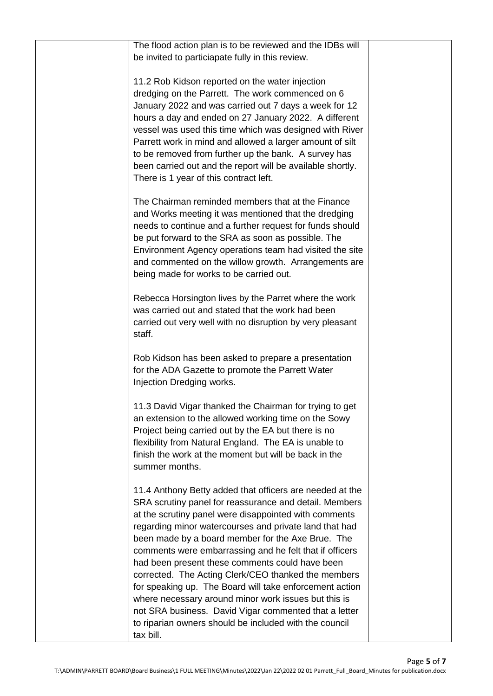| The flood action plan is to be reviewed and the IDBs will<br>be invited to particiapate fully in this review.                                                                                                                                                                                                                                                                                                                                                                                                                                                                                                                               |  |
|---------------------------------------------------------------------------------------------------------------------------------------------------------------------------------------------------------------------------------------------------------------------------------------------------------------------------------------------------------------------------------------------------------------------------------------------------------------------------------------------------------------------------------------------------------------------------------------------------------------------------------------------|--|
| 11.2 Rob Kidson reported on the water injection<br>dredging on the Parrett. The work commenced on 6<br>January 2022 and was carried out 7 days a week for 12<br>hours a day and ended on 27 January 2022. A different<br>vessel was used this time which was designed with River<br>Parrett work in mind and allowed a larger amount of silt<br>to be removed from further up the bank. A survey has<br>been carried out and the report will be available shortly.<br>There is 1 year of this contract left.                                                                                                                                |  |
| The Chairman reminded members that at the Finance<br>and Works meeting it was mentioned that the dredging<br>needs to continue and a further request for funds should<br>be put forward to the SRA as soon as possible. The<br>Environment Agency operations team had visited the site<br>and commented on the willow growth. Arrangements are<br>being made for works to be carried out.                                                                                                                                                                                                                                                   |  |
| Rebecca Horsington lives by the Parret where the work<br>was carried out and stated that the work had been<br>carried out very well with no disruption by very pleasant<br>staff.                                                                                                                                                                                                                                                                                                                                                                                                                                                           |  |
| Rob Kidson has been asked to prepare a presentation<br>for the ADA Gazette to promote the Parrett Water<br>Injection Dredging works.                                                                                                                                                                                                                                                                                                                                                                                                                                                                                                        |  |
| 11.3 David Vigar thanked the Chairman for trying to get<br>an extension to the allowed working time on the Sowy<br>Project being carried out by the EA but there is no<br>flexibility from Natural England. The EA is unable to<br>finish the work at the moment but will be back in the<br>summer months.                                                                                                                                                                                                                                                                                                                                  |  |
| 11.4 Anthony Betty added that officers are needed at the<br>SRA scrutiny panel for reassurance and detail. Members<br>at the scrutiny panel were disappointed with comments<br>regarding minor watercourses and private land that had<br>been made by a board member for the Axe Brue. The<br>comments were embarrassing and he felt that if officers<br>had been present these comments could have been<br>corrected. The Acting Clerk/CEO thanked the members<br>for speaking up. The Board will take enforcement action<br>where necessary around minor work issues but this is<br>not SRA business. David Vigar commented that a letter |  |
| to riparian owners should be included with the council<br>tax bill.                                                                                                                                                                                                                                                                                                                                                                                                                                                                                                                                                                         |  |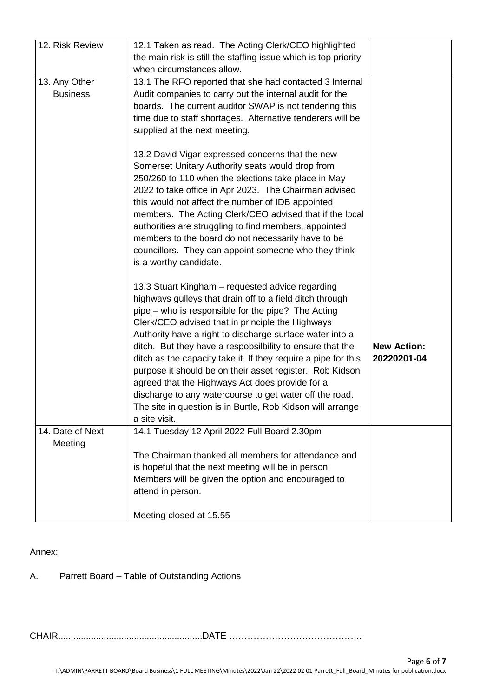| 12. Risk Review  | 12.1 Taken as read. The Acting Clerk/CEO highlighted            |                    |
|------------------|-----------------------------------------------------------------|--------------------|
|                  | the main risk is still the staffing issue which is top priority |                    |
|                  | when circumstances allow.                                       |                    |
| 13. Any Other    | 13.1 The RFO reported that she had contacted 3 Internal         |                    |
| <b>Business</b>  | Audit companies to carry out the internal audit for the         |                    |
|                  | boards. The current auditor SWAP is not tendering this          |                    |
|                  | time due to staff shortages. Alternative tenderers will be      |                    |
|                  | supplied at the next meeting.                                   |                    |
|                  |                                                                 |                    |
|                  | 13.2 David Vigar expressed concerns that the new                |                    |
|                  | Somerset Unitary Authority seats would drop from                |                    |
|                  | 250/260 to 110 when the elections take place in May             |                    |
|                  | 2022 to take office in Apr 2023. The Chairman advised           |                    |
|                  | this would not affect the number of IDB appointed               |                    |
|                  | members. The Acting Clerk/CEO advised that if the local         |                    |
|                  | authorities are struggling to find members, appointed           |                    |
|                  | members to the board do not necessarily have to be              |                    |
|                  | councillors. They can appoint someone who they think            |                    |
|                  |                                                                 |                    |
|                  | is a worthy candidate.                                          |                    |
|                  | 13.3 Stuart Kingham - requested advice regarding                |                    |
|                  |                                                                 |                    |
|                  | highways gulleys that drain off to a field ditch through        |                    |
|                  | pipe – who is responsible for the pipe? The Acting              |                    |
|                  | Clerk/CEO advised that in principle the Highways                |                    |
|                  | Authority have a right to discharge surface water into a        |                    |
|                  | ditch. But they have a respobsilbility to ensure that the       | <b>New Action:</b> |
|                  | ditch as the capacity take it. If they require a pipe for this  | 20220201-04        |
|                  | purpose it should be on their asset register. Rob Kidson        |                    |
|                  | agreed that the Highways Act does provide for a                 |                    |
|                  | discharge to any watercourse to get water off the road.         |                    |
|                  | The site in question is in Burtle, Rob Kidson will arrange      |                    |
|                  | a site visit.                                                   |                    |
| 14. Date of Next | 14.1 Tuesday 12 April 2022 Full Board 2.30pm                    |                    |
| Meeting          |                                                                 |                    |
|                  | The Chairman thanked all members for attendance and             |                    |
|                  | is hopeful that the next meeting will be in person.             |                    |
|                  | Members will be given the option and encouraged to              |                    |
|                  | attend in person.                                               |                    |
|                  |                                                                 |                    |
|                  | Meeting closed at 15.55                                         |                    |

## Annex:

A. Parrett Board – Table of Outstanding Actions

CHAIR.........................................................DATE ……………………………………..